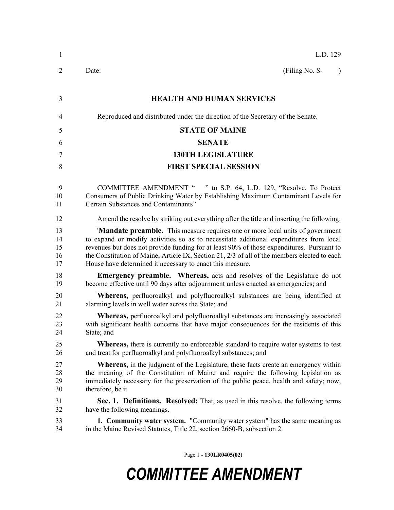| 1                          | L.D. 129                                                                                                                                                                                                                                                                                                                                                                                                                           |
|----------------------------|------------------------------------------------------------------------------------------------------------------------------------------------------------------------------------------------------------------------------------------------------------------------------------------------------------------------------------------------------------------------------------------------------------------------------------|
| 2                          | (Filing No. S-<br>Date:<br>$\lambda$                                                                                                                                                                                                                                                                                                                                                                                               |
| 3                          | <b>HEALTH AND HUMAN SERVICES</b>                                                                                                                                                                                                                                                                                                                                                                                                   |
| 4                          | Reproduced and distributed under the direction of the Secretary of the Senate.                                                                                                                                                                                                                                                                                                                                                     |
| 5                          | <b>STATE OF MAINE</b>                                                                                                                                                                                                                                                                                                                                                                                                              |
| 6                          | <b>SENATE</b>                                                                                                                                                                                                                                                                                                                                                                                                                      |
| 7                          | <b>130TH LEGISLATURE</b>                                                                                                                                                                                                                                                                                                                                                                                                           |
| 8                          | <b>FIRST SPECIAL SESSION</b>                                                                                                                                                                                                                                                                                                                                                                                                       |
| 9<br>10<br>11              | COMMITTEE AMENDMENT " " to S.P. 64, L.D. 129, "Resolve, To Protect<br>Consumers of Public Drinking Water by Establishing Maximum Contaminant Levels for<br>Certain Substances and Contaminants"                                                                                                                                                                                                                                    |
| 12                         | Amend the resolve by striking out everything after the title and inserting the following:                                                                                                                                                                                                                                                                                                                                          |
| 13<br>14<br>15<br>16<br>17 | 'Mandate preamble. This measure requires one or more local units of government<br>to expand or modify activities so as to necessitate additional expenditures from local<br>revenues but does not provide funding for at least 90% of those expenditures. Pursuant to<br>the Constitution of Maine, Article IX, Section 21, 2/3 of all of the members elected to each<br>House have determined it necessary to enact this measure. |
| 18<br>19                   | <b>Emergency preamble.</b> Whereas, acts and resolves of the Legislature do not<br>become effective until 90 days after adjournment unless enacted as emergencies; and                                                                                                                                                                                                                                                             |
| 20<br>21                   | <b>Whereas</b> , perfluoroalkyl and polyfluoroalkyl substances are being identified at<br>alarming levels in well water across the State; and                                                                                                                                                                                                                                                                                      |
| 22<br>23<br>24             | Whereas, perfluoroalkyl and polyfluoroalkyl substances are increasingly associated<br>with significant health concerns that have major consequences for the residents of this<br>State: and                                                                                                                                                                                                                                        |
| 25<br>26                   | <b>Whereas,</b> there is currently no enforceable standard to require water systems to test<br>and treat for perfluoroalkyl and polyfluoroalkyl substances; and                                                                                                                                                                                                                                                                    |
| 27<br>28<br>29<br>30       | <b>Whereas</b> , in the judgment of the Legislature, these facts create an emergency within<br>the meaning of the Constitution of Maine and require the following legislation as<br>immediately necessary for the preservation of the public peace, health and safety; now,<br>therefore, be it                                                                                                                                    |
| 31<br>32                   | Sec. 1. Definitions. Resolved: That, as used in this resolve, the following terms<br>have the following meanings.                                                                                                                                                                                                                                                                                                                  |
| 33<br>34                   | 1. Community water system. "Community water system" has the same meaning as<br>in the Maine Revised Statutes, Title 22, section 2660-B, subsection 2.                                                                                                                                                                                                                                                                              |
|                            |                                                                                                                                                                                                                                                                                                                                                                                                                                    |

Page 1 - **130LR0405(02)**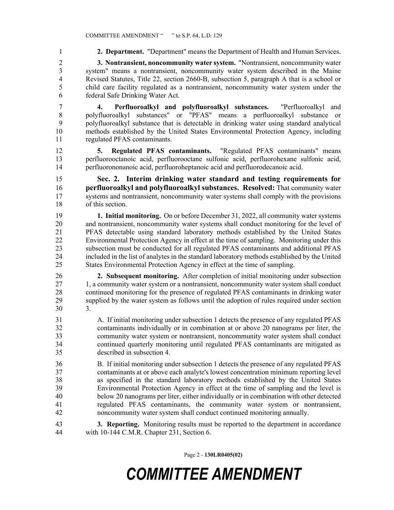2 **3. Nontransient, noncommunity water system.** "Nontransient, noncommunity water 3 system" means a nontransient, noncommunity water system described in the Maine 4 Revised Statutes, Title 22, section 2660-B, subsection 5, paragraph A that is a school or 5 child care facility regulated as a nontransient, noncommunity water system under the 6 federal Safe Drinking Water Act.

1 **2. Department.** "Department" means the Department of Health and Human Services.

7 **4. Perfluoroalkyl and polyfluoroalkyl substances.** "Perfluoroalkyl and 8 polyfluoroalkyl substances" or "PFAS" means a perfluoroalkyl substance or 9 polyfluoroalkyl substance that is detectable in drinking water using standard analytical 10 methods established by the United States Environmental Protection Agency, including 11 regulated PFAS contaminants.

12 **5. Regulated PFAS contaminants.** "Regulated PFAS contaminants" means 13 perfluorooctanoic acid, perfluorooctane sulfonic acid, perfluorohexane sulfonic acid, 14 perfluorononanoic acid, perfluoroheptanoic acid and perfluorodecanoic acid.

15 **Sec. 2. Interim drinking water standard and testing requirements for**  16 **perfluoroalkyl and polyfluoroalkyl substances. Resolved:** That community water 17 systems and nontransient, noncommunity water systems shall comply with the provisions 18 of this section.

19 **1. Initial monitoring.** On or before December 31, 2022, all community water systems 20 and nontransient, noncommunity water systems shall conduct monitoring for the level of 21 PFAS detectable using standard laboratory methods established by the United States 22 Environmental Protection Agency in effect at the time of sampling. Monitoring under this 23 subsection must be conducted for all regulated PFAS contaminants and additional PFAS 24 included in the list of analytes in the standard laboratory methods established by the United 25 States Environmental Protection Agency in effect at the time of sampling.

26 **2. Subsequent monitoring.** After completion of initial monitoring under subsection 27 1, a community water system or a nontransient, noncommunity water system shall conduct 28 continued monitoring for the presence of regulated PFAS contaminants in drinking water 29 supplied by the water system as follows until the adoption of rules required under section 30 3.

31 A. If initial monitoring under subsection 1 detects the presence of any regulated PFAS 32 contaminants individually or in combination at or above 20 nanograms per liter, the 33 community water system or nontransient, noncommunity water system shall conduct 34 continued quarterly monitoring until regulated PFAS contaminants are mitigated as 35 described in subsection 4.

36 B. If initial monitoring under subsection 1 detects the presence of any regulated PFAS 37 contaminants at or above each analyte's lowest concentration minimum reporting level 38 as specified in the standard laboratory methods established by the United States 39 Environmental Protection Agency in effect at the time of sampling and the level is 40 below 20 nanograms per liter, either individually or in combination with other detected 41 regulated PFAS contaminants, the community water system or nontransient, 42 noncommunity water system shall conduct continued monitoring annually.

43 **3. Reporting.** Monitoring results must be reported to the department in accordance 44 with 10-144 C.M.R. Chapter 231, Section 6.

Page 2 - **130LR0405(02)**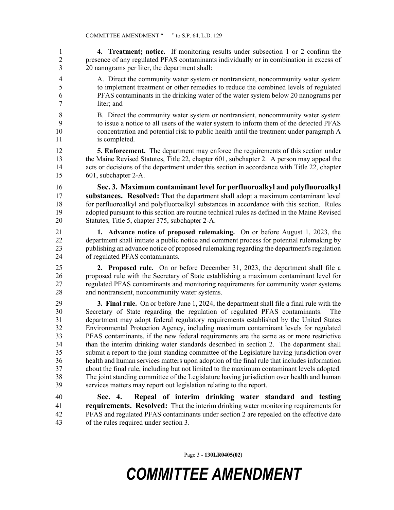1 **4. Treatment; notice.** If monitoring results under subsection 1 or 2 confirm the 2 presence of any regulated PFAS contaminants individually or in combination in excess of 3 20 nanograms per liter, the department shall:

- 4 A. Direct the community water system or nontransient, noncommunity water system 5 to implement treatment or other remedies to reduce the combined levels of regulated 6 PFAS contaminants in the drinking water of the water system below 20 nanograms per 7 liter; and
- 8 B. Direct the community water system or nontransient, noncommunity water system 9 to issue a notice to all users of the water system to inform them of the detected PFAS 10 concentration and potential risk to public health until the treatment under paragraph A 11 is completed.

12 **5. Enforcement.** The department may enforce the requirements of this section under 13 the Maine Revised Statutes, Title 22, chapter 601, subchapter 2. A person may appeal the 14 acts or decisions of the department under this section in accordance with Title 22, chapter 15 601, subchapter 2-A.

16 **Sec. 3. Maximum contaminant level for perfluoroalkyl and polyfluoroalkyl**  17 **substances. Resolved:** That the department shall adopt a maximum contaminant level 18 for perfluoroalkyl and polyfluoroalkyl substances in accordance with this section. Rules 19 adopted pursuant to this section are routine technical rules as defined in the Maine Revised 20 Statutes, Title 5, chapter 375, subchapter 2-A.

21 **1. Advance notice of proposed rulemaking.** On or before August 1, 2023, the 22 department shall initiate a public notice and comment process for potential rulemaking by 23 publishing an advance notice of proposed rulemaking regarding the department's regulation 24 of regulated PFAS contaminants.

25 **2. Proposed rule.** On or before December 31, 2023, the department shall file a 26 proposed rule with the Secretary of State establishing a maximum contaminant level for 27 regulated PFAS contaminants and monitoring requirements for community water systems 28 and nontransient, noncommunity water systems.

29 **3. Final rule.** On or before June 1, 2024, the department shall file a final rule with the 30 Secretary of State regarding the regulation of regulated PFAS contaminants. The 31 department may adopt federal regulatory requirements established by the United States 32 Environmental Protection Agency, including maximum contaminant levels for regulated 33 PFAS contaminants, if the new federal requirements are the same as or more restrictive 34 than the interim drinking water standards described in section 2. The department shall 35 submit a report to the joint standing committee of the Legislature having jurisdiction over 36 health and human services matters upon adoption of the final rule that includes information 37 about the final rule, including but not limited to the maximum contaminant levels adopted. 38 The joint standing committee of the Legislature having jurisdiction over health and human 39 services matters may report out legislation relating to the report.

40 **Sec. 4. Repeal of interim drinking water standard and testing**  41 **requirements. Resolved:** That the interim drinking water monitoring requirements for 42 PFAS and regulated PFAS contaminants under section 2 are repealed on the effective date 43 of the rules required under section 3.

Page 3 - **130LR0405(02)**